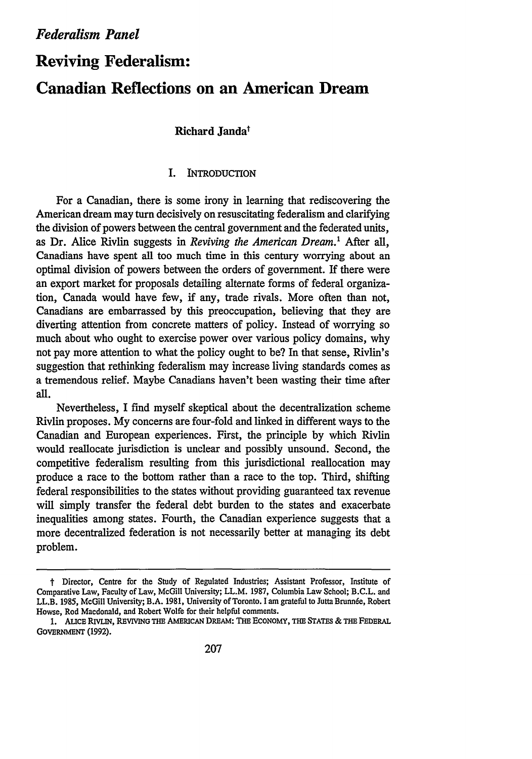# **Reviving Federalism: Canadian Reflections on an American Dream**

# Richard **Jandat**

# **I.** INTRODUCTION

For a Canadian, there is some irony in learning that rediscovering the American dream may turn decisively on resuscitating federalism and clarifying the division of powers between the central government and the federated units, as Dr. Alice Rivlin suggests in *Reviving the American Dream.1* After all, Canadians have spent all too much time in this century worrying about an optimal division of powers between the orders of government. If there were an export market for proposals detailing alternate forms of federal organization, Canada would have few, if any, trade rivals. More often than not, Canadians are embarrassed by this preoccupation, believing that they are diverting attention from concrete matters of policy. Instead of worrying so much about who ought to exercise power over various policy domains, why not pay more attention to what the policy ought to be? In that sense, Rivlin's suggestion that rethinking federalism may increase living standards comes as a tremendous relief. Maybe Canadians haven't been wasting their time after all.

Nevertheless, I find myself skeptical about the decentralization scheme Rivlin proposes. My concerns are four-fold and linked in different ways to the Canadian and European experiences. First, the principle by which Rivlin would reallocate jurisdiction is unclear and possibly unsound. Second, the competitive federalism resulting from this jurisdictional reallocation may produce a race to the bottom rather than a race to the top. Third, shifting federal responsibilities to the states without providing guaranteed tax revenue will simply transfer the federal debt burden to the states and exacerbate inequalities among states. Fourth, the Canadian experience suggests that a more decentralized federation is not necessarily better at managing its debt problem.

t Director, Centre for the Study of Regulated Industries; Assistant Professor, Institute of Comparative Law, Faculty of Law, McGill University; LL.M. 1987, Columbia Law School; B.C.L. and LL.B. 1985, McGill University; B.A. 1981, University of Toronto. I am grateful to Jutta Brunnée, Robert Howse, Rod Macdonald, and Robert Wolfe for their helpful comments.

**<sup>1.</sup>** ALICB RlVLIN, **REVIVING THE** AMERICAN **DREAm: THE** ECONOMY, **THE** STATES & THE FEDERAL GOVERNMENT (1992).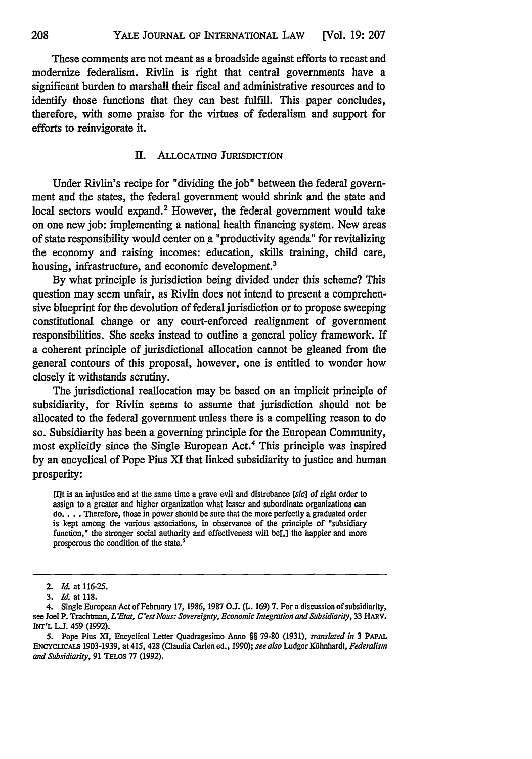These comments are not meant as a broadside against efforts to recast and modernize federalism. Rivlin is right that central governments have a significant burden to marshall their fiscal and administrative resources and to identify those functions that they can best fulfill. This paper concludes, therefore, with some praise for the virtues of federalism and support for efforts to reinvigorate it.

## II. ALLOCATING JURISDICTION

Under Rivlin's recipe for "dividing the job" between the federal government and the states, the federal government would shrink and the state and local sectors would expand.<sup>2</sup> However, the federal government would take on one new job: implementing a national health financing system. New areas of state responsibility would center on a "productivity agenda" for revitalizing the economy and raising incomes: education, skills training, child care, housing, infrastructure, and economic development.<sup>3</sup>

By what principle is jurisdiction being divided under this scheme? This question may seem unfair, as Rivlin does not intend to present a comprehensive blueprint for the devolution of federal jurisdiction or to propose sweeping constitutional change or any court-enforced realignment of government responsibilities. She seeks instead to outline a general policy framework. If a coherent principle of jurisdictional allocation cannot be gleaned from the general contours of this proposal, however, one is entitled to wonder how closely it withstands scrutiny.

The jurisdictional reallocation may be based on an implicit principle of subsidiarity, for Rivlin seems to assume that jurisdiction should not be allocated to the federal government unless there is a compelling reason to do so. Subsidiarity has been a governing principle for the European Community, most explicitly since the Single European Act.4 This principle was inspired by an encyclical of Pope Pius XI that linked subsidiarity to justice and human prosperity:

[It is an injustice and at the same time a grave evil and distrubance *[sic]* of right order to assign to a greater and higher organization what lesser and subordinate organizations can **do ....** Therefore, those in power should be sure that the more perfectly a graduated order is kept among the various associations, in observance of the principle of "subsidiary function," the stronger social authority and effectiveness will be[,] the happier and more prosperous the condition of the state.<sup>5</sup>

<sup>2.</sup> *Id.* at 116-25.

*<sup>3.</sup> Id.* at 118.

<sup>4.</sup> Single European Act of February 17, 1986, 1987 **O.J.** (L. 169) 7. For a discussion of subsidiarity, see Joel P. Trachtman, *L'Etat, C'est Nous: Sovereignty, Economic Integration and Subsidiarity*, 33 HARV. INT'L **L.J.** 459 (1992).

<sup>5.</sup> Pope Pius XI, Encyclical Letter Quadragesimo Anno §§ 79-80 (1931), *translated in* **3** PAPAL ENcYcLIcAS 1903-1939, at 415, 428 (Claudia Carlen ed., 1990); *see also* Ludger Kfihnhardt, *Federalism and Subsidiarity,* 91 TELos 77 (1992).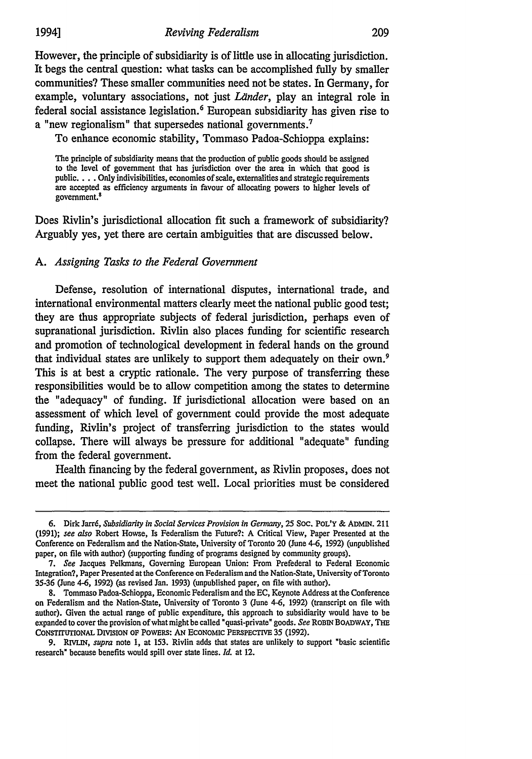However, the principle of subsidiarity is of little use in allocating jurisdiction. It begs the central question: what tasks can be accomplished fully by smaller communities? These smaller communities need not be states. In Germany, for example, voluntary associations, not just *Länder*, play an integral role in federal social assistance legislation.<sup>6</sup> European subsidiarity has given rise to a "new regionalism" that supersedes national governments. <sup>7</sup>

To enhance economic stability, Tommaso Padoa-Schioppa explains:

The principle of subsidiarity means that the production of public goods should be assigned to the level of government that has jurisdiction over the area in which that good is public. . . . Only indivisibilities, economies of scale, externalities and strategic requirements are accepted as efficiency arguments in favour of allocating powers to higher levels of government.<sup>8</sup>

Does Rivlin's jurisdictional allocation fit such a framework of subsidiarity? Arguably yes, yet there are certain ambiguities that are discussed below.

## *A. Assigning Tasks to the Federal Government*

Defense, resolution of international disputes, international trade, and international environmental matters clearly meet the national public good test; they are thus appropriate subjects of federal jurisdiction, perhaps even of supranational jurisdiction. Rivlin also places funding for scientific research and promotion of technological development in federal hands on the ground that individual states are unlikely to support them adequately on their own.<sup>9</sup> This is at best a cryptic rationale. The very purpose of transferring these responsibilities would be to allow competition among the states to determine the "adequacy" of funding. If jurisdictional allocation were based on an assessment of which level of government could provide the most adequate funding, Rivlin's project of transferring jurisdiction to the states would collapse. There will always be pressure for additional "adequate" funding from the federal government.

Health financing by the federal government, as Rivlin proposes, does not meet the national public good test well. Local priorities must be considered

**<sup>6.</sup>** Dirk Jarr6, *Subsidiarity in Social Services Provision in Germany,* 25 Soc. PoL'Y & ADMIN. 211 (1991); *see also* Robert Howse, Is Federalism the Future?: A Critical View, Paper Presented at the Conference on Federalism and the Nation-State, University of Toronto 20 (June 4-6, 1992) (unpublished paper, on file with author) (supporting funding of programs designed by community groups).

<sup>7.</sup> *See* Jacques Pelkmans, Governing European Union: From Prefederal to Federal Economic Integration?, Paper Presented at the Conference on Federalism and the Nation-State, University of Toronto 35-36 (June 4-6, 1992) (as revised Jan. 1993) (unpublished paper, on file with author).

<sup>8.</sup> Tommaso Padoa-Schioppa, Economic Federalism and the EC, Keynote Address at the Conference on Federalism and the Nation-State, University of Toronto 3 (June 4-6, 1992) (transcript on file with author). Given the actual range of public expenditure, this approach to subsidiarity would have to be expanded to cover the provision of what might be called " quasi-private" goods. *See* ROBIN BOADWAY, THE CONSTITUTIONAL DIVISION OF POWERS: **AN** ECONOMIC PERSPECTIVE 35 (1992).

**<sup>9.</sup>** *RIVLIN, supra* note 1, at 153. Rivlin adds that states are unlikely to support "basic scientific research" because benefits would spill over state lines. *Id.* at 12.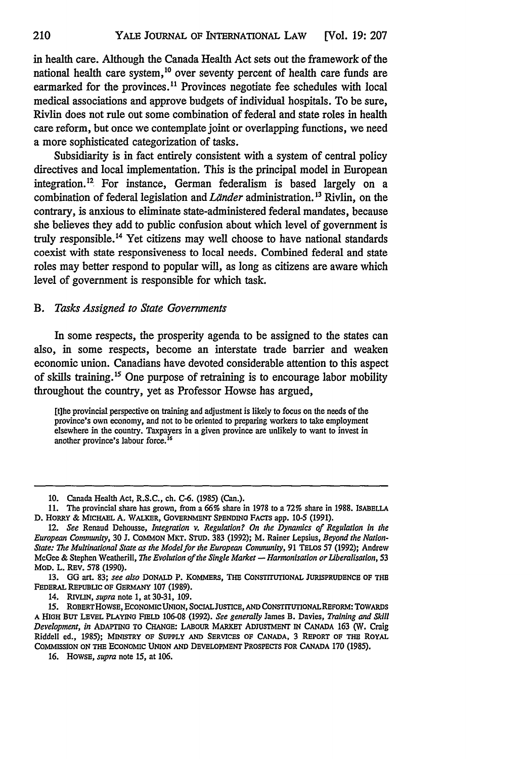in health care. Although the Canada Health Act sets out the framework of the national health care system,  $^{10}$  over seventy percent of health care funds are earmarked for the provinces.<sup>11</sup> Provinces negotiate fee schedules with local medical associations and approve budgets of individual hospitals. To be sure, Rivlin does not rule out some combination of federal and state roles in health care reform, but once we contemplate joint or overlapping functions, we need a more sophisticated categorization of tasks.

Subsidiarity is in fact entirely consistent with a system of central policy directives and local implementation. This is the principal model in European integration.<sup>12</sup> For instance, German federalism is based largely on a combination of federal legislation and *Länder* administration.<sup>13</sup> Rivlin, on the contrary, is anxious to eliminate state-administered federal mandates, because she believes they add to public confusion about which level of government is truly responsible.<sup>14</sup> Yet citizens may well choose to have national standards coexist with state responsiveness to local needs. Combined federal and state roles may better respond to popular will, as long as citizens are aware which level of government is responsible for which task.

#### B. *Tasks Assigned to State Governments*

In some respects, the prosperity agenda to be assigned to the states can also, in some respects, become an interstate trade barrier and weaken economic union. Canadians have devoted considerable attention to this aspect of skills training.<sup>15</sup> One purpose of retraining is to encourage labor mobility throughout the country, yet as Professor Howse has argued,

[t]he provincial perspective on training and adjustment is likely to focus on the needs of the province's own economy, and not to be oriented to preparing workers to take employment elsewhere in the country. Taxpayers in a given province are unlikely to want to invest in another province's labour force.<sup>16</sup>

14. RIVLIN, *supra* note 1, at 30-31, 109.

<sup>10.</sup> Canada Health Act, R.S.C., ch. **C-6.** (1985) (Can.).

<sup>11.</sup> The provincial share has grown, from a 66% share in 1978 to a 72% share in 1988. **ISABELLA D.** HoRRY & MICHAEL **A.** WALKER, **GOVERNMENT SPENDING** FACTS app. 10-5 **(1991).**

*<sup>12.</sup> See* Renaud Dehousse, *Integration v. Regulation? On the Dynamics of Regulation in the European Community,* 30 J. COMMON MKT. STUD. 383 (1992); M. Rainer Lepsius, *Beyond the Nation-State: The Multinational State as the Model for the European Community,* 91 TELos 57 (1992); Andrew McGee **&** Stephen Weatherill, *The Evolution of the Single Market* **-** *Harmonisation or Liberalisation,* 53 MOD. L. REV. **578** (1990).

**<sup>13.</sup>** GG art. **83;** *see also* **DONALD** P. KOMMERS, **THE** CONSTIrUTIONAL JURISPRUDENCE OF THE **FEDERAL** REPUBLIC OF GERMANY 107 (1989).

<sup>15.</sup> ROBERTHOWSE, ECONOMICUNION, SOCIALJUSTICE, **AND** CONSTITUTIONALREFORM: TOWARDs **A** HIGH BUT LEVEL PLAYING **FIELD** 106-08 (1992). *See generally* James B. Davies, *Training and Skill Development, in* ADAPTING TO **CHANGE:** LABOUR MARKET **ADJUSTMENT** IN **CANADA 163** (W. Craig Riddell ed., 1985); MINISTRY OF **SUPPLY AND** SERVICES OF CANADA, **3 REPORT OF THE** ROYAL **CoMMISsION** ON THE ECONOMIC UNION **AND** DEVELOPMENT PROSPECTS FOR **CANADA** 170 (1985).

<sup>16.</sup> HowsE, *supra* note *15,* at 106.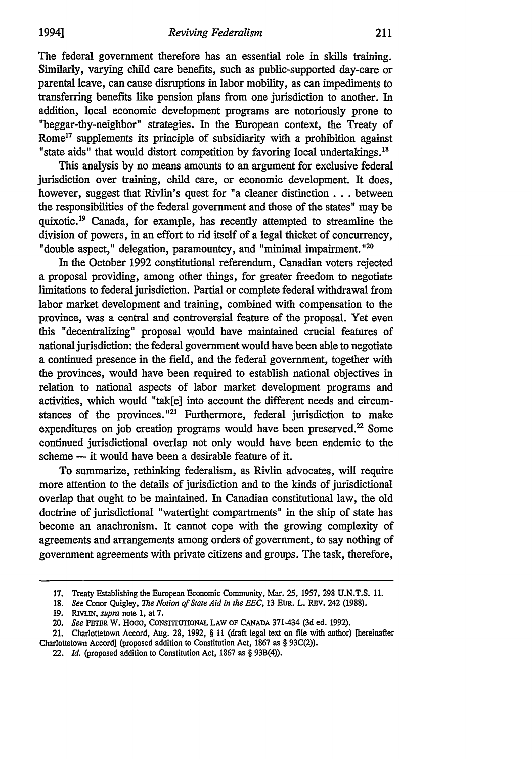The federal government therefore has an essential role in skills training. Similarly, varying child care benefits, such as public-supported day-care or parental leave, can cause disruptions in labor mobility, as can impediments to transferring benefits like pension plans from one jurisdiction to another. In addition, local economic development programs are notoriously prone to "beggar-thy-neighbor" strategies. In the European context, the Treaty of Rome<sup>17</sup> supplements its principle of subsidiarity with a prohibition against "state aids" that would distort competition by favoring local undertakings.<sup>18</sup>

This analysis by no means amounts to an argument for exclusive federal jurisdiction over training, child care, or economic development. It does, however, suggest that Rivlin's quest for "a cleaner distinction... between the responsibilities of the federal government and those of the states" may be quixotic.<sup>19</sup> Canada, for example, has recently attempted to streamline the division of powers, in an effort to rid itself of a legal thicket of concurrency, "double aspect," delegation, paramountcy, and "minimal impairment."<sup>20</sup>

In the October 1992 constitutional referendum, Canadian voters rejected a proposal providing, among other things, for greater freedom to negotiate limitations to federal jurisdiction. Partial or complete federal withdrawal from labor market development and training, combined with compensation to the province, was a central and controversial feature of the proposal. Yet even this "decentralizing" proposal would have maintained crucial features of national jurisdiction: the federal government would have been able to negotiate a continued presence in the field, and the federal government, together with the provinces, would have been required to establish national objectives in relation to national aspects of labor market development programs and activities, which would "tak[e] into account the different needs and circumstances of the provinces."<sup>21</sup> Furthermore, federal jurisdiction to make expenditures on job creation programs would have been preserved. $22$  Some continued jurisdictional overlap not only would have been endemic to the scheme **-** it would have been a desirable feature of it.

To summarize, rethinking federalism, as Rivlin advocates, will require more attention to the details of jurisdiction and to the kinds of jurisdictional overlap that ought to be maintained. In Canadian constitutional law, the old doctrine of jurisdictional "watertight compartments" in the ship of state has become an anachronism. It cannot cope with the growing complexity of agreements and arrangements among orders of government, to say nothing of government agreements with private citizens and groups. The task, therefore,

<sup>17.</sup> Treaty Establishing the European Economic Community, Mar. 25, 1957, 298 U.N.T.S. 11.

**<sup>18.</sup>** *See* Conor Quigley, *The Notion of State Aid in the EEC,* 13 EuR. L. REv. 242 (1988).

<sup>19.</sup> *RIVLIN, supra* note 1, at 7.

<sup>20.</sup> *See* PETER W. HoGc, CONSTrruTirONAL LAW OF **CANADA** 371-434 (3d ed. 1992).

<sup>21.</sup> Charlottetown Accord, Aug. **28,** 1992, § 11 (draft legal text on file with author) [hereinafter Charlottetown Accord] (proposed addition to Constitution Act, 1867 as § 93C(2)).

<sup>22.</sup> *Id.* (proposed addition to Constitution Act, 1867 as § 93B(4)).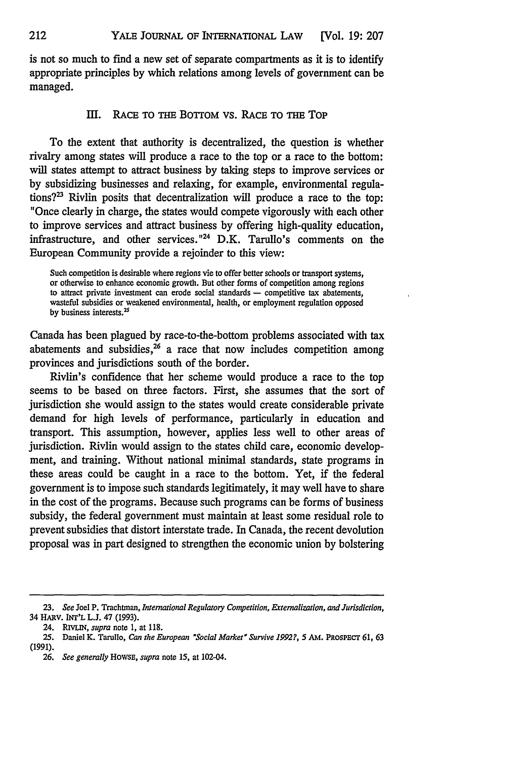is not so much to find a new set of separate compartments as it is to identify appropriate principles by which relations among levels of government can be managed.

## III. RACE TO THE BOTTOM VS. RACE TO THE TOP

To the extent that authority is decentralized, the question is whether rivalry among states will produce a race to the top or a race to the bottom: will states attempt to attract business by taking steps to improve services or by subsidizing businesses and relaxing, for example, environmental regulations? $3^2$  Rivlin posits that decentralization will produce a race to the top: "Once clearly in charge, the states would compete vigorously with each other to improve services and attract business by offering high-quality education, infrastructure, and other services."<sup>24</sup> D.K. Tarullo's comments on the European Community provide a rejoinder to this view:

Such competition is desirable where regions vie to offer better schools or transport systems, or otherwise to enhance economic growth. But other forms of competition among regions to attract private investment can erode social standards - competitive tax abatements, wasteful subsidies or weakened environmental, health, or employment regulation opposed by business interests.<sup>25</sup>

Canada has been plagued by race-to-the-bottom problems associated with tax abatements and subsidies, $^{26}$  a race that now includes competition among provinces and jurisdictions south of the border.

Rivlin's confidence that her scheme would produce a race to the top seems to be based on three factors. First, she assumes that the sort of jurisdiction she would assign to the states would create considerable private demand for high levels of performance, particularly in education and transport. This assumption, however, applies less well to other areas of jurisdiction. Rivlin would assign to the states child care, economic development, and training. Without national minimal standards, state programs in these areas could be caught in a race to the bottom. Yet, if the federal government is to impose such standards legitimately, it may well have to share in the cost of the programs. Because such programs can be forms of business subsidy, the federal government must maintain at least some residual role to prevent subsidies that distort interstate trade. In Canada, the recent devolution proposal was in part designed to strengthen the economic union by bolstering

*<sup>23.</sup> See* Joel P. Trachtman, *International Regulatory Competition, Externalization, and Jurisdiction,* 34 HARv. **IIT'L** L.J. 47 (1993).

*<sup>24.</sup> RIvuN, supra* note 1, at 118.

<sup>25.</sup> Daniel K. Tarullo, *Can the European 'Social Market' Survive 1992?,* 5 AM. PRoSPEcr 61, 63 (1991).

*<sup>26.</sup> See generally* HowsE, *supra* note 15, at 102-04.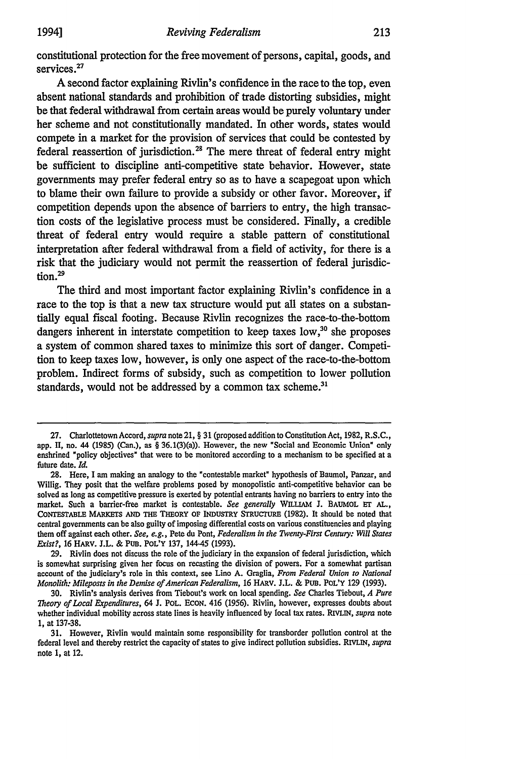constitutional protection for the free movement of persons, capital, goods, and services.<sup>27</sup>

**A** second factor explaining Rivlin's confidence in the race to the top, even absent national standards and prohibition of trade distorting subsidies, might be that federal withdrawal from certain areas would be purely voluntary under her scheme and not constitutionally mandated. In other words, states would compete in a market for the provision of services that could be contested **by** federal reassertion of jurisdiction.<sup>28</sup> The mere threat of federal entry might be sufficient to discipline anti-competitive state behavior. However, state governments may prefer federal entry so as to have a scapegoat upon which to blame their own failure to provide a subsidy or other favor. Moreover, if competition depends upon the absence of barriers to entry, the high transaction costs of the legislative process must be considered. Finally, a credible threat of federal entry would require a stable pattern of constitutional interpretation after federal withdrawal from a field of activity, for there is a risk that the judiciary would not permit the reassertion of federal jurisdiction.<sup>29</sup>

The third and most important factor explaining Rivlin's confidence in a race to the top is that a new tax structure would put all states on a substantially equal fiscal footing. Because Rivlin recognizes the race-to-the-bottom dangers inherent in interstate competition to keep taxes low,<sup>30</sup> she proposes a system of common shared taxes to minimize this sort of danger. Competition to keep taxes low, however, is only one aspect of the race-to-the-bottom problem. Indirect forms of subsidy, such as competition to lower pollution standards, would not be addressed by a common tax scheme.<sup>31</sup>

<sup>27.</sup> CharlottetownAccord, *supra* note 21, *§* **31** (proposed addition to ConstitutionAct, **1982,** R.S.C., app. II, no. 44 (1985) (Can.), as *§* 36.1(3)(a)). However, the new "Social and Economic Union" only enshrined "policy objectives" that were to be monitored according to a mechanism to be specified at a future date. *Id.*

<sup>28.</sup> Here, I am making an analogy to the "contestable market" hypothesis of Baumol, Panzar, and Willig. They posit that the welfare problems posed by monopolistic anti-competitive behavior can be solved as long as competitive pressure is exerted by potential entrants having no barriers to entry into the market. Such a barrier-free market is contestable. *See generally* WILLIAM **J.** BAUMOL **ET AL.,** CONTESTABLE MARKETS AND THE THEORY OF INDUSTRY STRUCTURE (1982). It should be noted that central governments can be also guilty of imposing differential costs on various constituencies and playing them off against each other. *See, e.g.,* Pete du Pont, *Federalism in the Twenty-First Century: Will States Exist?,* 16 HARV. J.L. & PUB. POL'Y 137, 144-45 (1993).

**<sup>29.</sup>** Rivlin does not discuss the role of the judiciary in the expansion of federal jurisdiction, which is somewhat surprising given her focus on recasting the division of powers. For a somewhat partisan account of the judiciary's role in this context, see Lino **A.** Graglia, *From Federal Union to National Monolith: Mileposts in the Demise of American Federalism,* 16 HARv. J.L. & **PuB. POL'Y 129** (1993).

<sup>30.</sup> Rivlin's analysis derives from Tiebout's work on local spending. *See* Charles Tiebout, *A Pure Theory of Local Expenditures,* 64 J. PoL. EcoN. 416 (1956). Rivlin, however, expresses doubts about whether individual mobility across state lines is heavily influenced by local tax rates. RIvLIN, *supra* note 1, at 137-38.

**<sup>31.</sup>** However, Rivlin would maintain some responsibility for transborder pollution control at the federal level and thereby restrict the capacity of states to give indirect pollution subsidies. **RIVLIN,** *supra* note **1,** at 12.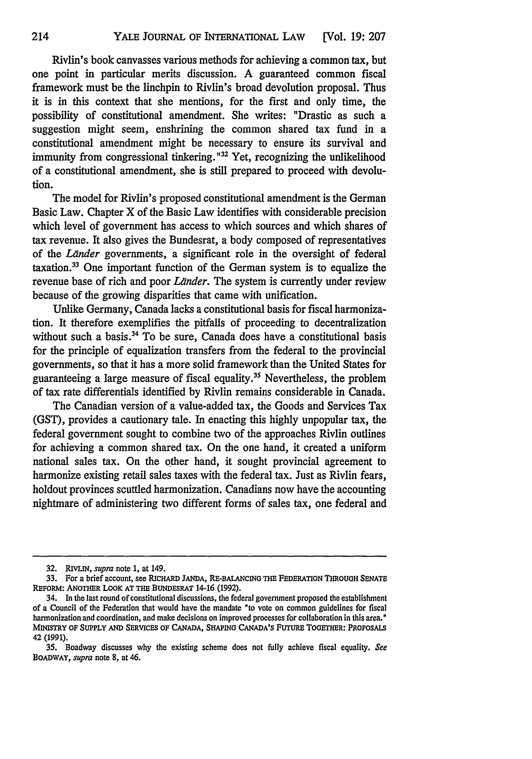Rivlin's book canvasses various methods for achieving a common tax, but one point in particular merits discussion. A guaranteed common fiscal framework must be the linchpin to Rivlin's broad devolution proposal. Thus it is in this context that she mentions, for the first and only time, the possibility of constitutional amendment. She writes: "Drastic as such a suggestion might seem, enshrining the common shared tax fund in a constitutional amendment might be necessary to ensure its survival and immunity from congressional tinkering. **" <sup>32</sup>**Yet, recognizing the unlikelihood of a constitutional amendment, she is still prepared to proceed with devolution.

The model for Rivlin's proposed constitutional amendment is the German Basic Law. Chapter X of the Basic Law identifies with considerable precision which level of government has access to which sources and which shares of tax revenue. It also gives the Bundesrat, a body composed of representatives of the Länder governments, a significant role in the oversight of federal taxation.33 One important function of the German system is to equalize the revenue base of rich and poor *Länder*. The system is currently under review because of the growing disparities that came with unification.

Unlike Germany, Canada lacks a constitutional basis for fiscal harmonization. It therefore exemplifies the pitfalls of proceeding to decentralization without such a basis. $34$  To be sure, Canada does have a constitutional basis for the principle of equalization transfers from the federal to the provincial governments, so that it has a more solid framework than the United States for guaranteeing a large measure of fiscal equality.<sup>35</sup> Nevertheless, the problem of tax rate differentials identified by Rivlin remains considerable in Canada.

The Canadian version of a value-added tax, the Goods and Services Tax (GST), provides a cautionary tale. In enacting this highly unpopular tax, the federal government sought to combine two of the approaches Rivlin outlines for achieving a common shared tax. On the one hand, it created a uniform national sales tax. On the other hand, it sought provincial agreement to harmonize existing retail sales taxes with the federal tax. Just as Rivlin fears, holdout provinces scuttled harmonization. Canadians now have the accounting nightmare of administering two different forms of sales tax, one federal and

**<sup>32.</sup>** RIvLIN, *supra* note **1,** at 149.

**<sup>33.</sup> For** a **brief** account, see **RICHARD JANDA, RE-BALANCING THE FEDERATION THROUOH SENATE** REFORM: ANOTHER **LOOK AT THE BUNDESRAT 14-16 (1992).**

**<sup>34.</sup> In the last round of constitutional discussions, the federal** government **proposed the** establishment **of a Council of the Federation that would have** the **mandate "to vote on common** guidelines **for fiscal harmonization** and **coordination, and make** decisions **on improved processes for collaboration** in **this area."** MMMY OF **SUPPLY AND** SERVICES OF **CANADA, SHAPING** CANADA'S **FUTURE TOGETHER:** PROPOSALS 42 (1991).

<sup>35.</sup> Boadway discusses why the existing scheme does not fully achieve fiscal equality. *See* BOADWAY, *supra* note **8,** at 46.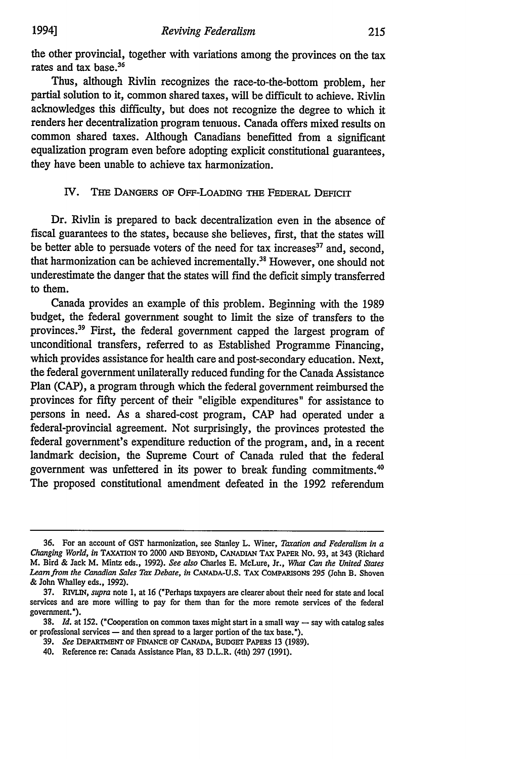the other provincial, together with variations among the provinces on the tax rates and tax base.<sup>36</sup>

Thus, although Rivlin recognizes the race-to-the-bottom problem, her partial solution to it, common shared taxes, will be difficult to achieve. Rivlin acknowledges this difficulty, but does not recognize the degree to which it renders her decentralization program tenuous. Canada offers mixed results on common shared taxes. Although Canadians benefitted from a significant equalization program even before adopting explicit constitutional guarantees, they have been unable to achieve tax harmonization.

# IV. THE DANGERS OF OFF-LOADING **THE** FEDERAL DEFICIT

Dr. Rivlin is prepared to back decentralization even in the absence of fiscal guarantees to the states, because she believes, first, that the states will be better able to persuade voters of the need for tax increases $37$  and, second, that harmonization can be achieved incrementally.<sup>38</sup> However, one should not underestimate the danger that the states will find the deficit simply transferred to them.

Canada provides an example of this problem. Beginning with the 1989 budget, the federal government sought to limit the size of transfers to the provinces.<sup>39</sup> First, the federal government capped the largest program of unconditional transfers, referred to as Established Programme Financing, which provides assistance for health care and post-secondary education. Next, the federal government unilaterally reduced funding for the Canada Assistance Plan (CAP), a program through which the federal government reimbursed the provinces for fifty percent of their "eligible expenditures" for assistance to persons in need. As a shared-cost program, CAP had operated under a federal-provincial agreement. Not surprisingly, the provinces protested the federal government's expenditure reduction of the program, and, in a recent landmark decision, the Supreme Court of Canada ruled that the federal government was unfettered in its power to break funding commitments.' The proposed constitutional amendment defeated in the 1992 referendum

39. *See* DEPARTMENT OF FINANCE OF CANADA, **BUDGET** PAPERS 13 (1989).

<sup>36.</sup> For an account of **GST** harmonization, see Stanley L. Winer, *Taxation and Federalism in a Changing World, in* TAXATION TO 2000 **AND** BEYOND, CANADIAN TAX PAPER **No. 93,** at 343 (Richard M. Bird & Jack M. Mintz eds., 1992). *See also* Charles E. McLure, Jr., *What Can the United States Learn from the Canadian Sales Tax Debate, in* **CANADA-U.S.** TAX COMPARISONS 295 (John B. Shoven & John Whalley eds., 1992).

<sup>37.</sup> *RIVriN, supra* note 1, at 16 ('Perhaps taxpayers are clearer about their need for state and local services and are more willing to pay for them than for the more remote services of the federal government.").

**<sup>38.</sup>** *Id.* at 152. ("Cooperation on common taxes might start in a small way **-** say with catalog sales or professional services  $-$  and then spread to a larger portion of the tax base.").

<sup>40.</sup> Reference re: Canada Assistance Plan, 83 D.L.R. (4th) 297 (1991).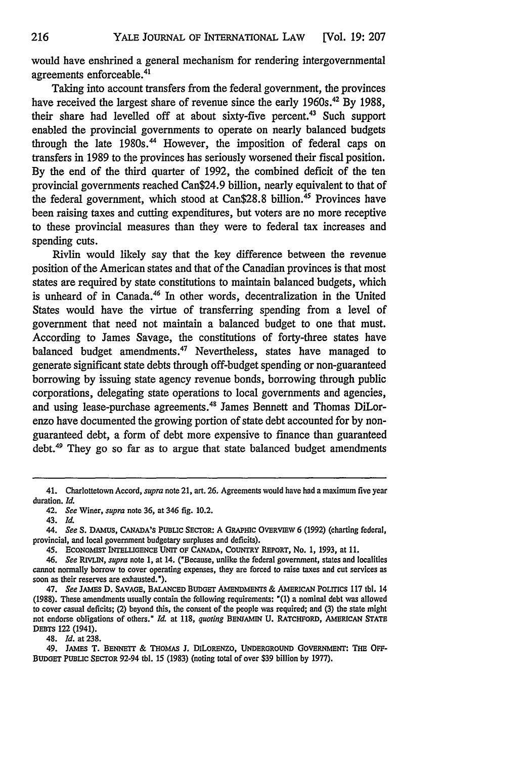would have enshrined a general mechanism for rendering intergovernmental agreements enforceable.<sup>41</sup>

Taking into account transfers from the federal government, the provinces have received the largest share of revenue since the early 1960s.<sup>42</sup> By 1988, their share had levelled off at about sixty-five percent.<sup>43</sup> Such support enabled the provincial governments to operate on nearly balanced budgets through the late 1980s.<sup>44</sup> However, the imposition of federal caps on transfers in 1989 to the provinces has seriously worsened their fiscal position. By the end of the third quarter of 1992, the combined deficit of the ten provincial governments reached Can\$24.9 billion, nearly equivalent to that of the federal government, which stood at Can\$28.8 billion.<sup>45</sup> Provinces have been raising taxes and cutting expenditures, but voters are no more receptive to these provincial measures than they were to federal tax increases and spending cuts.

Rivlin would likely say that the key difference between the revenue position of the American states and that of the Canadian provinces is that most states are required by state constitutions to maintain balanced budgets, which is unheard of in Canada.<sup>46</sup> In other words, decentralization in the United States would have the virtue of transferring spending from a level of government that need not maintain a balanced budget to one that must. According to James Savage, the constitutions of forty-three states have balanced budget amendments.<sup>47</sup> Nevertheless, states have managed to generate significant state debts through off-budget spending or non-guaranteed borrowing by issuing state agency revenue bonds, borrowing through public corporations, delegating state operations to local governments and agencies, and using lease-purchase agreements.<sup>48</sup> James Bennett and Thomas DiLorenzo have documented the growing portion of state debt accounted for by nonguaranteed debt, a form of debt more expensive to finance than guaranteed debt.49 They go so far as to argue that state balanced budget amendments

48. Id. at 238.

49. JAMEs T. **BENNETT** & **THOMAS J. DiLORENZO, UNDERGROUND GOVERNMENT: THE** OFF-BUDGET PUBLIC SECTOR 92-94 tbl. 15 **(1983)** (noting total of over **\$39** billion **by 1977).**

<sup>41.</sup> Charlottetown Accord, *supra* note 21, art. **26.** Agreements would have had a maximum five year duration. **Id.**

<sup>42.</sup> *See* Winer, *supra* note **36,** at 346 **fig.** 10.2.

<sup>43.</sup> *Id.*

<sup>44.</sup> See S. DAMUS, CANADA's PUBLIC SECTOR: A GRAPHIC OVERVIEW 6 (1992) (charting federal, provincial, and local government budgetary surpluses and deficits).

<sup>45.</sup> ECONOMIST INTELIGENCE **UNrr** oF CANADA, **COUNTRY REPORT,** No. 1, 1993, at 11.

*<sup>46.</sup> See RiVIN, supra* note 1, at 14. ("Because, unlike the federal government, states and localities cannot normally borrow to cover operating expenses, they are forced to raise taxes and cut services as soon as their reserves are exhausted.\*).

<sup>47.</sup> *See* JAMES D. **SAVAGE,** BALANCED BUDGET **AMENDMENTS** & AMERICAN PoLITIcs 117 tbl. 14 (1988). These amendments usually contain the following requirements: "(1) a nominal debt was allowed to cover casual deficits; (2) beyond this, the consent of the people was required; and **(3)** the state might not endorse obligations of others." *Id.* at 118, *quoting* BENJAMIN **U.** RATCHFORD, AMERICAN **STATE DEBTs** 122 (1941).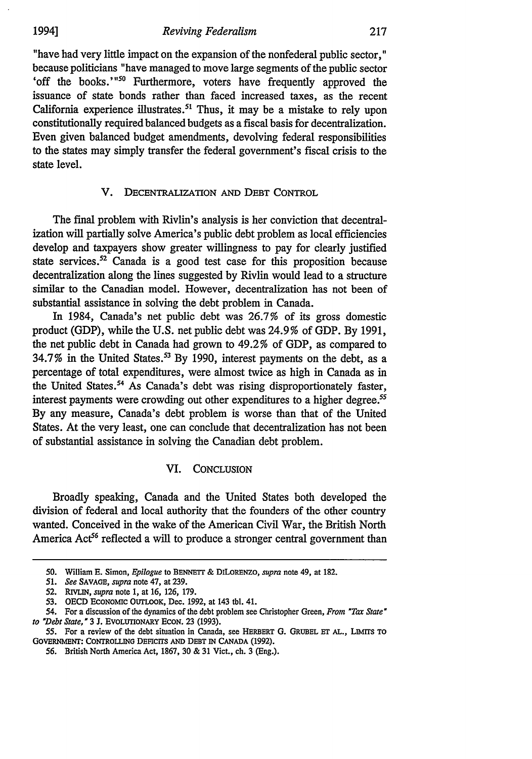"have had very little impact on the expansion of the nonfederal public sector," because politicians "have managed to move large segments of the public sector 'off the books.'"<sup>50</sup> Furthermore, voters have frequently approved the issuance of state bonds rather than faced increased taxes, as the recent California experience illustrates.<sup>51</sup> Thus, it may be a mistake to rely upon constitutionally required balanced budgets as a fiscal basis for decentralization. Even given balanced budget amendments, devolving federal responsibilities to the states may simply transfer the federal government's fiscal crisis to the state level.

## V. DECENTRALIZATION **AND** DEBT CONTROL

The final problem with Rivlin's analysis is her conviction that decentralization will partially solve America's public debt problem as local efficiencies develop and taxpayers show greater willingness to pay for clearly justified state services.<sup>52</sup> Canada is a good test case for this proposition because decentralization along the lines suggested by Rivlin would lead to a structure similar to the Canadian model. However, decentralization has not been of substantial assistance in solving the debt problem in Canada.

In 1984, Canada's net public debt was 26.7% of its gross domestic product (GDP), while the U.S. net public debt was 24.9% of GDP. By 1991, the net public debt in Canada had grown to 49.2% of GDP, as compared to 34.7% in the United States.53 By 1990, interest payments on the debt, as a percentage of total expenditures, were almost twice as high in Canada as in the United States.<sup>54</sup> As Canada's debt was rising disproportionately faster, interest payments were crowding out other expenditures to a higher degree.<sup>55</sup> By any measure, Canada's debt problem is worse than that of the United States. At the very least, one can conclude that decentralization has not been of substantial assistance in solving the Canadian debt problem.

#### VI. CONCLUSION

Broadly speaking, Canada and the United States both developed the division of federal and local authority that the founders of the other country wanted. Conceived in the wake of the American Civil War, the British North America Act<sup>56</sup> reflected a will to produce a stronger central government than

<sup>50.</sup> William E. Simon, *Epilogue* to BENNETT & DiLORENzo, *supra* note 49, at 182.

*<sup>51.</sup> See* SAVAGE, *supra* note 47, at 239.

<sup>52.</sup> RIVLIN, *supra* note 1, at 16, 126, 179.

**<sup>53.</sup> OECD** ECONOMIC OUTLOOK, Dec. 1992, at 143 tbl. 41.

<sup>54.</sup> For a discussion of the dynamics of the debt problem see Christopher Green, *From 'Tax State' to 'Debt State,'* 3 **J.** EVOLUTIONARY ECON. 23 (1993).

**<sup>55.</sup>** For a review of the debt situation in Canada, see HERBERT **0.** GRUBEL **ET AL., LIMrTS** TO GOVERNMENT: CONTROLLING DEFICITS AND DEBT IN CANADA (1992).

<sup>56.</sup> British North America Act, 1867, 30 & 31 Vict., ch. 3 (Eng.).